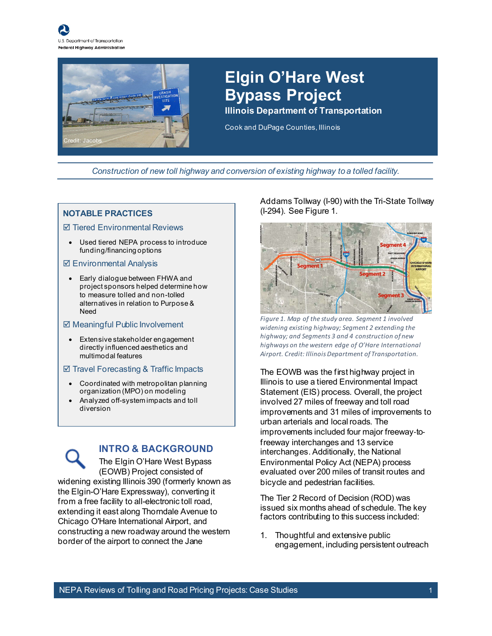



### **Elgin O'Hare West Bypass Project**

**Illinois Department of Transportation** 

Cook and DuPage Counties, Illinois

*Construction of new toll highway and conversion of existing highway to a tolled facility.*

#### **NOTABLE PRACTICES**

#### $⊓$  **Tiered Environmental Reviews**

• Used tiered NEPA process to introduce funding/financing options

#### $⊓$  **Environmental Analysis**

• Early dialogue between FHWA and project sponsors helped determine how to measure tolled and non-tolled alternatives in relation to Purpose & Need

#### $\boxtimes$  **Meaningful Public Involvement**

Extensive stakeholder engagement directly influenced aesthetics and multimodal features

#### $\boxtimes$  Travel Forecasting & Traffic Impacts

- Coordinated with metropolitan planning organization (MPO) on modeling
- Analyzed off-system impacts and toll diversion

#### **INTRO & BACKGROUND**

The Elgin O'Hare West Bypass (EOWB) Project consisted of widening existing Illinois 390 (formerly known as the Elgin-O'Hare Expressway), converting it from a free facility to all-electronic toll road, extending it east along Thorndale Avenue to Chicago O'Hare International Airport, and constructing a new roadway around the western border of the airport to connect the Jane

Addams Tollway (I-90) with the Tri-State Tollway (I-294). See [Figure 1.](#page-0-0)



<span id="page-0-0"></span>*Figure 1. Map of the study area. Segment 1 involved widening existing highway; Segment 2 extending the highway; and Segments 3 and 4 construction of new highways on the western edge of O'Hare International Airport. Credit: Illinois Department of Transportation.*

The EOWB was the first highway project in Illinois to use a tiered Environmental Impact Statement (EIS) process. Overall, the project involved 27 miles of freeway and toll road improvements and 31 miles of improvements to urban arterials and local roads. The improvements included four major freeway‐to‐ freeway interchanges and 13 service interchanges. Additionally, the National Environmental Policy Act (NEPA) process evaluated over 200 miles of transit routes and bicycle and pedestrian facilities.

The Tier 2 Record of Decision (ROD) was issued six months ahead of schedule. The key factors contributing to this success included:

1. Thoughtful and extensive public engagement, including persistent outreach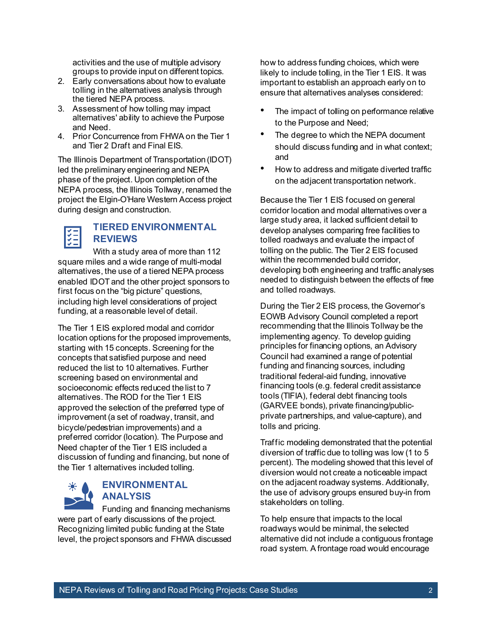activities and the use of multiple advisory groups to provide input on different topics.

- 2. Early conversations about how to evaluate tolling in the alternatives analysis through the tiered NEPA process.
- 3. Assessment of how tolling may impact alternatives' ability to achieve the Purpose and Need.
- 4. Prior Concurrence from FHWA on the Tier 1 and Tier 2 Draft and Final EIS.

The Illinois Department of Transportation (IDOT) led the preliminary engineering and NEPA phase of the project. Upon completion of the NEPA process, the Illinois Tollway, renamed the project the Elgin-O'Hare Western Access project during design and construction.

#### **TIERED ENVIRONMENTAL REVIEWS**

With a study area of more than 112 square miles and a wide range of multi-modal alternatives, the use of a tiered NEPA process enabled IDOT and the other project sponsors to first focus on the "big picture" questions, including high level considerations of project funding, at a reasonable level of detail.

The Tier 1 EIS explored modal and corridor location options for the proposed improvements, starting with 15 concepts. Screening for the concepts that satisfied purpose and need reduced the list to 10 alternatives. Further screening based on environmental and socioeconomic effects reduced the list to 7 alternatives. The ROD for the Tier 1 EIS approved the selection of the preferred type of improvement (a set of roadway, transit, and bicycle/pedestrian improvements) and a preferred corridor (location). The Purpose and Need chapter of the Tier 1 EIS included a discussion of funding and financing, but none of the Tier 1 alternatives included tolling.



#### **ENVIRONMENTAL ANALYSIS**

Funding and financing mechanisms were part of early discussions of the project. Recognizing limited public funding at the State level, the project sponsors and FHWA discussed

how to address funding choices, which were likely to include tolling, in the Tier 1 EIS. It was important to establish an approach early on to ensure that alternatives analyses considered:

- The impact of tolling on performance relative to the Purpose and Need;
- The degree to which the NEPA document should discuss funding and in what context; and
- How to address and mitigate diverted traffic on the adjacent transportation network.

Because the Tier 1 EIS focused on general corridor location and modal alternatives over a large study area, it lacked sufficient detail to develop analyses comparing free facilities to tolled roadways and evaluate the impact of tolling on the public. The Tier 2 EIS focused within the recommended build corridor, developing both engineering and traffic analyses needed to distinguish between the effects of free and tolled roadways.

During the Tier 2 EIS process, the Governor's EOWB Advisory Council completed a report recommending that the Illinois Tollway be the implementing agency. To develop guiding principles for financing options, an Advisory Council had examined a range of potential funding and financing sources, including traditional federal-aid funding, innovative financing tools (e.g. federal credit assistance tools (TIFIA), federal debt financing tools (GARVEE bonds), private financing/publicprivate partnerships, and value-capture), and tolls and pricing.

Traffic modeling demonstrated that the potential diversion of traffic due to tolling was low (1 to 5 percent). The modeling showed that this level of diversion would not create a noticeable impact on the adjacent roadway systems. Additionally, the use of advisory groups ensured buy-in from stakeholders on tolling.

To help ensure that impacts to the local roadways would be minimal, the selected alternative did not include a contiguous frontage road system. A frontage road would encourage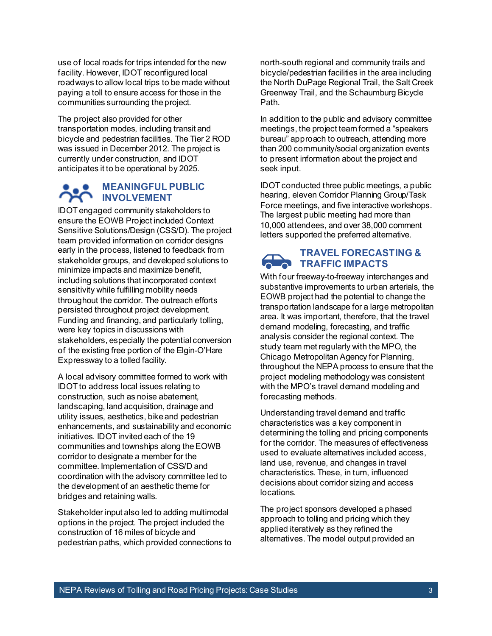use of local roads for trips intended for the new facility. However, IDOT reconfigured local roadways to allow local trips to be made without paying a toll to ensure access for those in the communities surrounding the project.

The project also provided for other transportation modes, including transit and bicycle and pedestrian facilities. The Tier 2 ROD was issued in December 2012. The project is currently under construction, and IDOT anticipates it to be operational by 2025.

#### **MEANINGFUL PUBLIC INVOLVEMENT**

IDOT engaged community stakeholders to ensure the EOWB Project included Context Sensitive Solutions/Design (CSS/D). The project team provided information on corridor designs early in the process, listened to feedback from stakeholder groups, and developed solutions to minimize impacts and maximize benefit, including solutions that incorporated context sensitivity while fulfilling mobility needs throughout the corridor. The outreach efforts persisted throughout project development. Funding and financing, and particularly tolling, were key topics in discussions with stakeholders, especially the potential conversion of the existing free portion of the Elgin-O'Hare Expressway to a tolled facility.

A local advisory committee formed to work with IDOT to address local issues relating to construction, such as noise abatement, landscaping, land acquisition, drainage and utility issues, aesthetics, bike and pedestrian enhancements, and sustainability and economic initiatives. IDOT invited each of the 19 communities and townships along the EOWB corridor to designate a member for the committee. Implementation of CSS/D and coordination with the advisory committee led to the development of an aesthetic theme for bridges and retaining walls.

Stakeholder input also led to adding multimodal options in the project. The project included the construction of 16 miles of bicycle and pedestrian paths, which provided connections to north-south regional and community trails and bicycle/pedestrian facilities in the area including the North DuPage Regional Trail, the Salt Creek Greenway Trail, and the Schaumburg Bicycle Path.

In addition to the public and advisory committee meetings, the project team formed a "speakers bureau" approach to outreach, attending more than 200 community/social organization events to present information about the project and seek input.

IDOT conducted three public meetings, a public hearing, eleven Corridor Planning Group/Task Force meetings, and five interactive workshops. The largest public meeting had more than 10,000 attendees, and over 38,000 comment letters supported the preferred alternative.



#### **TRAVEL FORECASTING & TRAFFIC IMPACTS**

With four freeway-to-freeway interchanges and substantive improvements to urban arterials, the EOWB project had the potential to change the transportation landscape for a large metropolitan area. It was important, therefore, that the travel demand modeling, forecasting, and traffic analysis consider the regional context. The study team met regularly with the MPO, the Chicago Metropolitan Agency for Planning, throughout the NEPA process to ensure that the project modeling methodology was consistent with the MPO's travel demand modeling and forecasting methods.

Understanding travel demand and traffic characteristics was a key component in determining the tolling and pricing components for the corridor. The measures of effectiveness used to evaluate alternatives included access, land use, revenue, and changes in travel characteristics. These, in turn, influenced decisions about corridor sizing and access locations.

The project sponsors developed a phased approach to tolling and pricing which they applied iteratively as they refined the alternatives. The model output provided an